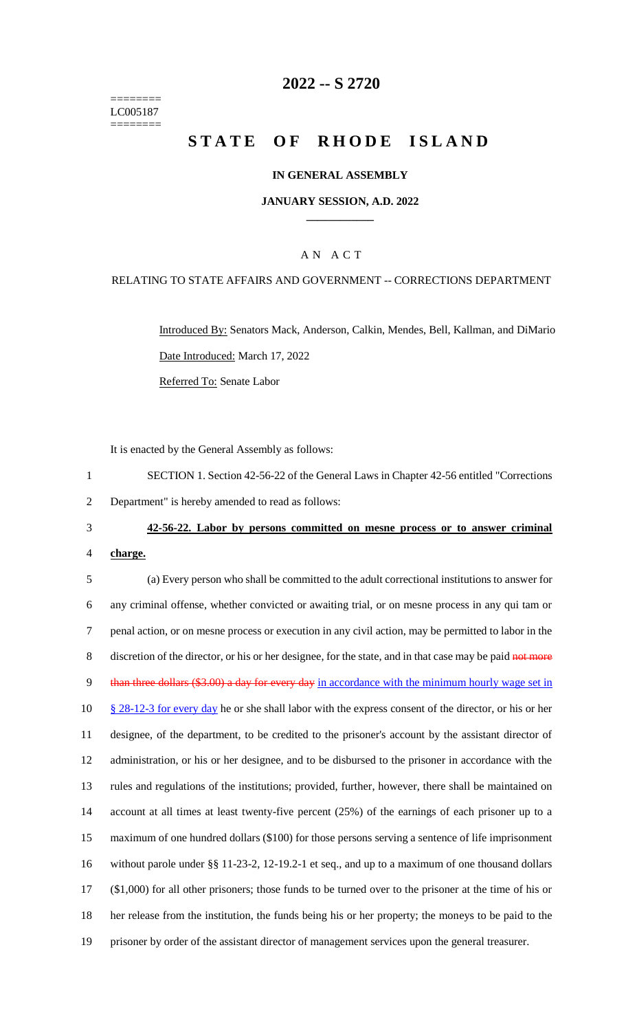======== LC005187 ========

## **2022 -- S 2720**

# **STATE OF RHODE ISLAND**

#### **IN GENERAL ASSEMBLY**

#### **JANUARY SESSION, A.D. 2022 \_\_\_\_\_\_\_\_\_\_\_\_**

## A N A C T

#### RELATING TO STATE AFFAIRS AND GOVERNMENT -- CORRECTIONS DEPARTMENT

Introduced By: Senators Mack, Anderson, Calkin, Mendes, Bell, Kallman, and DiMario Date Introduced: March 17, 2022 Referred To: Senate Labor

It is enacted by the General Assembly as follows:

1 SECTION 1. Section 42-56-22 of the General Laws in Chapter 42-56 entitled "Corrections 2 Department" is hereby amended to read as follows:

3 **42-56-22. Labor by persons committed on mesne process or to answer criminal** 

4 **charge.**

 (a) Every person who shall be committed to the adult correctional institutions to answer for any criminal offense, whether convicted or awaiting trial, or on mesne process in any qui tam or penal action, or on mesne process or execution in any civil action, may be permitted to labor in the 8 discretion of the director, or his or her designee, for the state, and in that case may be paid not more 9 than three dollars (\$3.00) a day for every day in accordance with the minimum hourly wage set in 10 § 28-12-3 for every day he or she shall labor with the express consent of the director, or his or her designee, of the department, to be credited to the prisoner's account by the assistant director of administration, or his or her designee, and to be disbursed to the prisoner in accordance with the rules and regulations of the institutions; provided, further, however, there shall be maintained on account at all times at least twenty-five percent (25%) of the earnings of each prisoner up to a maximum of one hundred dollars (\$100) for those persons serving a sentence of life imprisonment without parole under §§ 11-23-2, 12-19.2-1 et seq., and up to a maximum of one thousand dollars (\$1,000) for all other prisoners; those funds to be turned over to the prisoner at the time of his or her release from the institution, the funds being his or her property; the moneys to be paid to the prisoner by order of the assistant director of management services upon the general treasurer.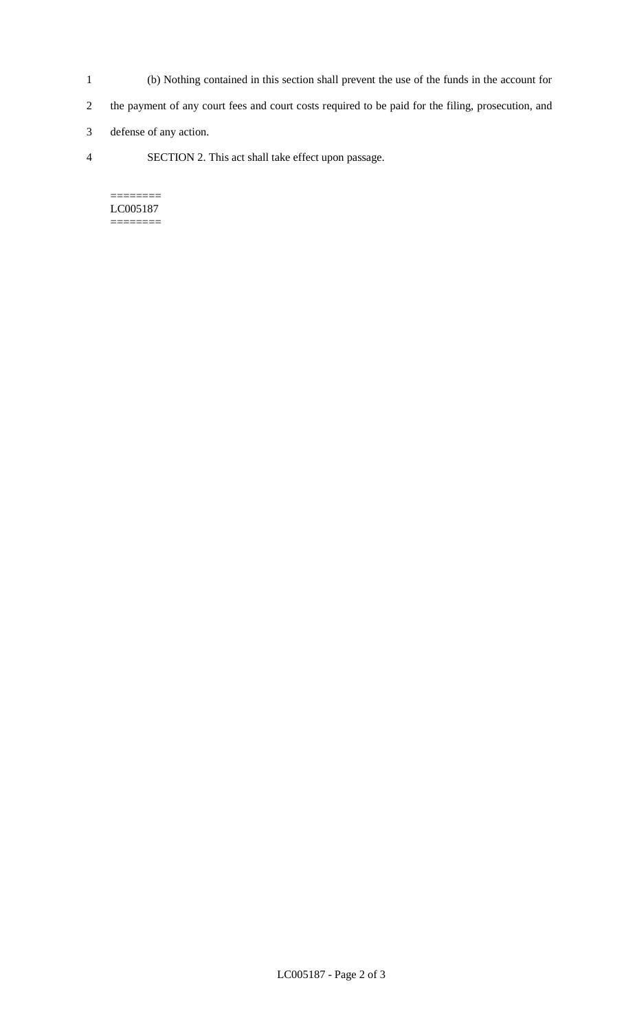- 1 (b) Nothing contained in this section shall prevent the use of the funds in the account for
- 2 the payment of any court fees and court costs required to be paid for the filing, prosecution, and
- 3 defense of any action.
- 4 SECTION 2. This act shall take effect upon passage.

======== LC005187 ========